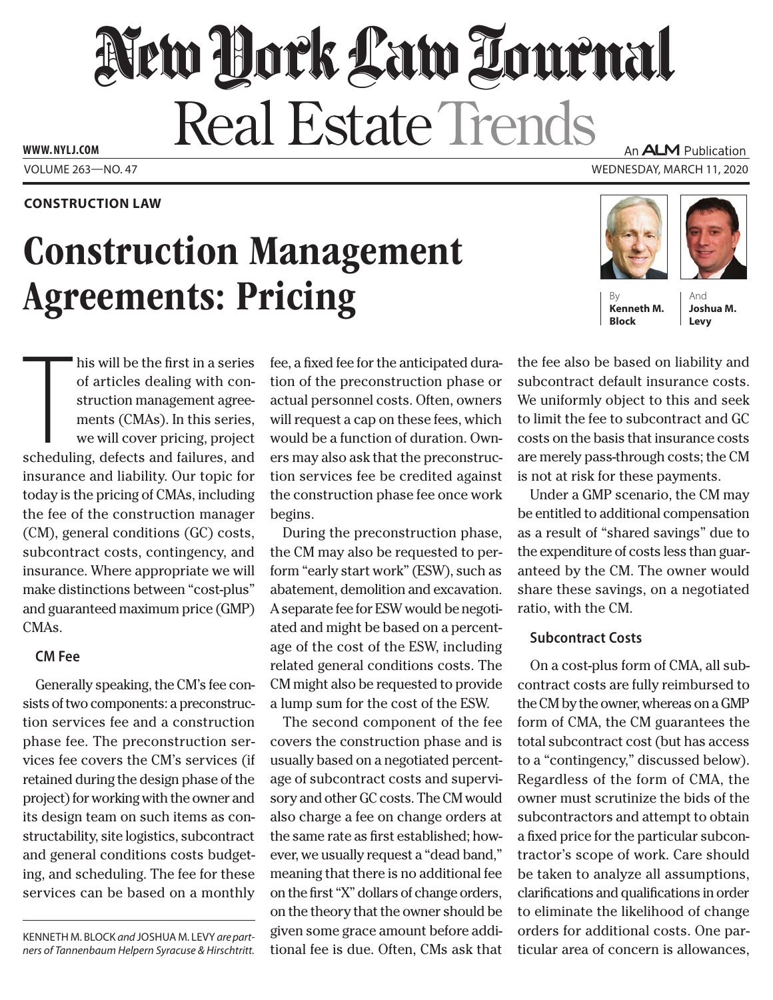# New York Law Tournal Real Estate Trends

**www. NYLJ.com**

## **Construction Law**

# Construction Management **Agreements: Pricing**

An **ALM** Publication

Volume 263—NO. 47 Wednesday, March 11, 2020



**Block**

And **Joshua M. Levy**

his will be the first in a series<br>of articles dealing with con-<br>struction management agree-<br>ments (CMAs). In this series,<br>we will cover pricing, project<br>scheduling, defects and failures, and his will be the first in a series of articles dealing with construction management agreements (CMAs). In this series, we will cover pricing, project insurance and liability. Our topic for today is the pricing of CMAs, including the fee of the construction manager (CM), general conditions (GC) costs, subcontract costs, contingency, and insurance. Where appropriate we will make distinctions between "cost-plus" and guaranteed maximum price (GMP) CMA<sub>s</sub>.

# **CM Fee**

Generally speaking, the CM's fee consists of two components: a preconstruction services fee and a construction phase fee. The preconstruction services fee covers the CM's services (if retained during the design phase of the project) for working with the owner and its design team on such items as constructability, site logistics, subcontract and general conditions costs budgeting, and scheduling. The fee for these services can be based on a monthly

Kenneth M. Block *and* Joshua M. Levy *are partners of Tannenbaum Helpern Syracuse & Hirschtritt.* fee, a fixed fee for the anticipated duration of the preconstruction phase or actual personnel costs. Often, owners will request a cap on these fees, which would be a function of duration. Owners may also ask that the preconstruction services fee be credited against the construction phase fee once work begins.

During the preconstruction phase, the CM may also be requested to perform "early start work" (ESW), such as abatement, demolition and excavation. A separate fee for ESW would be negotiated and might be based on a percentage of the cost of the ESW, including related general conditions costs. The CM might also be requested to provide a lump sum for the cost of the ESW.

The second component of the fee covers the construction phase and is usually based on a negotiated percentage of subcontract costs and supervisory and other GC costs. The CM would also charge a fee on change orders at the same rate as first established; however, we usually request a "dead band," meaning that there is no additional fee on the first "X" dollars of change orders, on the theory that the owner should be given some grace amount before additional fee is due. Often, CMs ask that the fee also be based on liability and subcontract default insurance costs. We uniformly object to this and seek to limit the fee to subcontract and GC costs on the basis that insurance costs are merely pass-through costs; the CM is not at risk for these payments.

Under a GMP scenario, the CM may be entitled to additional compensation as a result of "shared savings" due to the expenditure of costs less than guaranteed by the CM. The owner would share these savings, on a negotiated ratio, with the CM.

# **Subcontract Costs**

On a cost-plus form of CMA, all subcontract costs are fully reimbursed to the CM by the owner, whereas on a GMP form of CMA, the CM guarantees the total subcontract cost (but has access to a "contingency," discussed below). Regardless of the form of CMA, the owner must scrutinize the bids of the subcontractors and attempt to obtain a fixed price for the particular subcontractor's scope of work. Care should be taken to analyze all assumptions, clarifications and qualifications in order to eliminate the likelihood of change orders for additional costs. One particular area of concern is allowances,